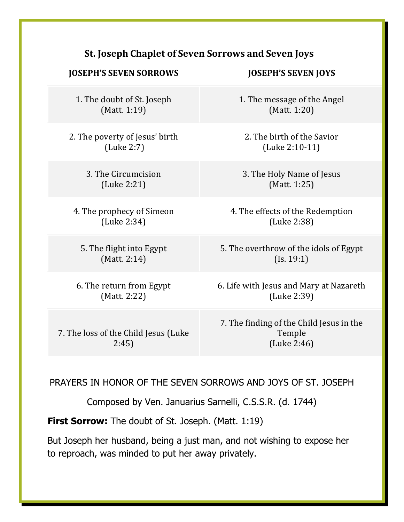## **St. Joseph Chaplet of Seven Sorrows and Seven Joys**

## **JOSEPH'S SEVEN SORROWS JOSEPH'S SEVEN JOYS**

1. The doubt of St. Joseph  $(Matt. 1:19)$ 

2. The poverty of Jesus' birth (Luke 2:7)

> 3. The Circumcision (Luke 2:21)

4. The prophecy of Simeon (Luke 2:34)

5. The flight into Egypt  $(Matt. 2:14)$ 

6. The return from Egypt (Matt. 2:22)

7. The loss of the Child Jesus (Luke) 2:45)

1. The message of the Angel  $(Matt. 1:20)$ 

2. The birth of the Savior (Luke 2:10-11)

3. The Holy Name of Jesus (Matt. 1:25)

4. The effects of the Redemption (Luke 2:38)

5. The overthrow of the idols of Egypt  $(Is. 19:1)$ 

6. Life with Jesus and Mary at Nazareth (Luke 2:39)

7. The finding of the Child Jesus in the Temple (Luke 2:46)

## PRAYERS IN HONOR OF THE SEVEN SORROWS AND JOYS OF ST. JOSEPH

Composed by Ven. Januarius Sarnelli, C.S.S.R. (d. 1744)

**First Sorrow:** The doubt of St. Joseph. (Matt. 1:19)

But Joseph her husband, being a just man, and not wishing to expose her to reproach, was minded to put her away privately.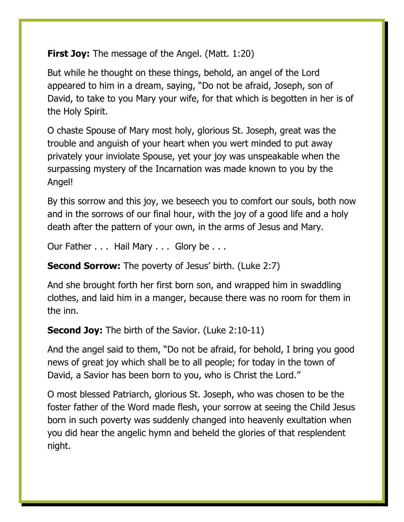**First Joy:** The message of the Angel. (Matt. 1:20)

But while he thought on these things, behold, an angel of the Lord appeared to him in a dream, saying, "Do not be afraid, Joseph, son of David, to take to you Mary your wife, for that which is begotten in her is of the Holy Spirit.

O chaste Spouse of Mary most holy, glorious St. Joseph, great was the trouble and anguish of your heart when you wert minded to put away privately your inviolate Spouse, yet your joy was unspeakable when the surpassing mystery of the Incarnation was made known to you by the Angel!

By this sorrow and this joy, we beseech you to comfort our souls, both now and in the sorrows of our final hour, with the joy of a good life and a holy death after the pattern of your own, in the arms of Jesus and Mary.

Our Father . . . Hail Mary . . . Glory be . . .

**Second Sorrow:** The poverty of Jesus' birth. (Luke 2:7)

And she brought forth her first born son, and wrapped him in swaddling clothes, and laid him in a manger, because there was no room for them in the inn.

**Second Joy:** The birth of the Savior. (Luke 2:10-11)

And the angel said to them, "Do not be afraid, for behold, I bring you good news of great joy which shall be to all people; for today in the town of David, a Savior has been born to you, who is Christ the Lord."

O most blessed Patriarch, glorious St. Joseph, who was chosen to be the foster father of the Word made flesh, your sorrow at seeing the Child Jesus born in such poverty was suddenly changed into heavenly exultation when you did hear the angelic hymn and beheld the glories of that resplendent night.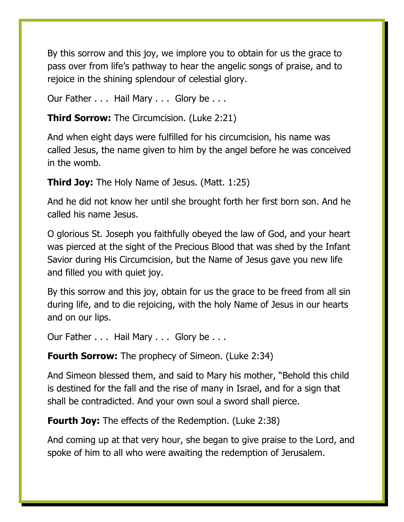By this sorrow and this joy, we implore you to obtain for us the grace to pass over from life's pathway to hear the angelic songs of praise, and to rejoice in the shining splendour of celestial glory.

Our Father . . . Hail Mary . . . Glory be . . .

**Third Sorrow:** The Circumcision. (Luke 2:21)

And when eight days were fulfilled for his circumcision, his name was called Jesus, the name given to him by the angel before he was conceived in the womb.

**Third Joy:** The Holy Name of Jesus. (Matt. 1:25)

And he did not know her until she brought forth her first born son. And he called his name Jesus.

O glorious St. Joseph you faithfully obeyed the law of God, and your heart was pierced at the sight of the Precious Blood that was shed by the Infant Savior during His Circumcision, but the Name of Jesus gave you new life and filled you with quiet joy.

By this sorrow and this joy, obtain for us the grace to be freed from all sin during life, and to die rejoicing, with the holy Name of Jesus in our hearts and on our lips.

Our Father . . . Hail Mary . . . Glory be . . .

**Fourth Sorrow:** The prophecy of Simeon. (Luke 2:34)

And Simeon blessed them, and said to Mary his mother, "Behold this child is destined for the fall and the rise of many in Israel, and for a sign that shall be contradicted. And your own soul a sword shall pierce.

**Fourth Joy:** The effects of the Redemption. (Luke 2:38)

And coming up at that very hour, she began to give praise to the Lord, and spoke of him to all who were awaiting the redemption of Jerusalem.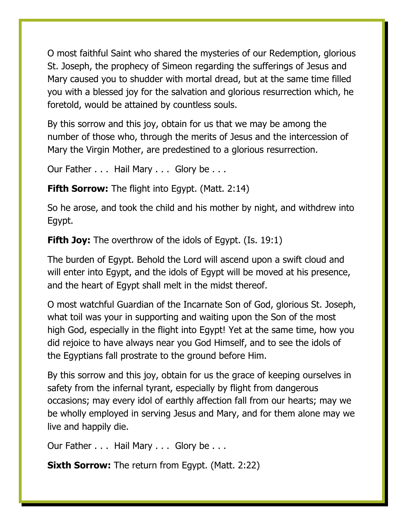O most faithful Saint who shared the mysteries of our Redemption, glorious St. Joseph, the prophecy of Simeon regarding the sufferings of Jesus and Mary caused you to shudder with mortal dread, but at the same time filled you with a blessed joy for the salvation and glorious resurrection which, he foretold, would be attained by countless souls.

By this sorrow and this joy, obtain for us that we may be among the number of those who, through the merits of Jesus and the intercession of Mary the Virgin Mother, are predestined to a glorious resurrection.

Our Father . . . Hail Mary . . . Glory be . . .

**Fifth Sorrow:** The flight into Egypt. (Matt. 2:14)

So he arose, and took the child and his mother by night, and withdrew into Egypt.

**Fifth Joy:** The overthrow of the idols of Egypt. (Is. 19:1)

The burden of Egypt. Behold the Lord will ascend upon a swift cloud and will enter into Egypt, and the idols of Egypt will be moved at his presence, and the heart of Egypt shall melt in the midst thereof.

O most watchful Guardian of the Incarnate Son of God, glorious St. Joseph, what toil was your in supporting and waiting upon the Son of the most high God, especially in the flight into Egypt! Yet at the same time, how you did rejoice to have always near you God Himself, and to see the idols of the Egyptians fall prostrate to the ground before Him.

By this sorrow and this joy, obtain for us the grace of keeping ourselves in safety from the infernal tyrant, especially by flight from dangerous occasions; may every idol of earthly affection fall from our hearts; may we be wholly employed in serving Jesus and Mary, and for them alone may we live and happily die.

Our Father . . . Hail Mary . . . Glory be . . .

**Sixth Sorrow:** The return from Egypt. (Matt. 2:22)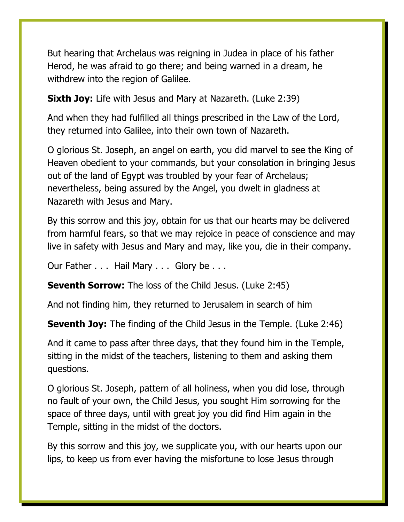But hearing that Archelaus was reigning in Judea in place of his father Herod, he was afraid to go there; and being warned in a dream, he withdrew into the region of Galilee.

**Sixth Joy:** Life with Jesus and Mary at Nazareth. (Luke 2:39)

And when they had fulfilled all things prescribed in the Law of the Lord, they returned into Galilee, into their own town of Nazareth.

O glorious St. Joseph, an angel on earth, you did marvel to see the King of Heaven obedient to your commands, but your consolation in bringing Jesus out of the land of Egypt was troubled by your fear of Archelaus; nevertheless, being assured by the Angel, you dwelt in gladness at Nazareth with Jesus and Mary.

By this sorrow and this joy, obtain for us that our hearts may be delivered from harmful fears, so that we may rejoice in peace of conscience and may live in safety with Jesus and Mary and may, like you, die in their company.

Our Father . . . Hail Mary . . . Glory be . . .

**Seventh Sorrow:** The loss of the Child Jesus. (Luke 2:45)

And not finding him, they returned to Jerusalem in search of him

**Seventh Joy:** The finding of the Child Jesus in the Temple. (Luke 2:46)

And it came to pass after three days, that they found him in the Temple, sitting in the midst of the teachers, listening to them and asking them questions.

O glorious St. Joseph, pattern of all holiness, when you did lose, through no fault of your own, the Child Jesus, you sought Him sorrowing for the space of three days, until with great joy you did find Him again in the Temple, sitting in the midst of the doctors.

By this sorrow and this joy, we supplicate you, with our hearts upon our lips, to keep us from ever having the misfortune to lose Jesus through